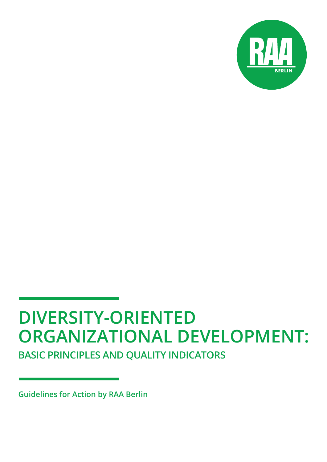

# **DIVERSITY-ORIENTED ORGANIZATIONAL DEVELOPMENT:**

**BASIC PRINCIPLES AND QUALITY INDICATORS**

**Guidelines for Action by RAA Berlin**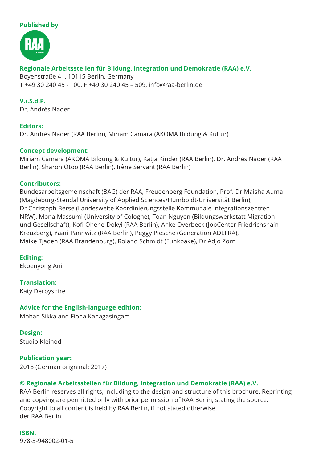### **Published by**



### **Regionale Arbeitsstellen für Bildung, Integration und Demokratie (RAA) e.V.**

Boyenstraße 41, 10115 Berlin, Germany T +49 30 240 45 - 100, F +49 30 240 45 – 509, [info@raa-berlin.de](mailto:info@raa-berlin.de)

**V.i.S.d.P.** Dr. Andrés Nader

### **Editors:**

Dr. Andrés Nader (RAA Berlin), Miriam Camara (AKOMA Bildung & Kultur)

### **Concept development:**

Miriam Camara (AKOMA Bildung & Kultur), Katja Kinder (RAA Berlin), Dr. Andrés Nader (RAA Berlin), Sharon Otoo (RAA Berlin), Irène Servant (RAA Berlin)

### **Contributors:**

Bundesarbeitsgemeinschaft (BAG) der RAA, Freudenberg Foundation, Prof. Dr Maisha Auma (Magdeburg-Stendal University of Applied Sciences/Humboldt-Universität Berlin), Dr Christoph Berse (Landesweite Koordinierungsstelle Kommunale Integrationszentren NRW), Mona Massumi (University of Cologne), Toan Nguyen (Bildungswerkstatt Migration und Gesellschaft), Kofi Ohene-Dokyi (RAA Berlin), Anke Overbeck (JobCenter Friedrichshain-Kreuzberg), Yaari Pannwitz (RAA Berlin), Peggy Piesche (Generation ADEFRA), Maike Tjaden (RAA Brandenburg), Roland Schmidt (Funkbake), Dr Adjo Zorn

### **Editing:**

Ekpenyong Ani

**Translation:** Katy Derbyshire

### **Advice for the English-language edition:**

Mohan Sikka and Fiona Kanagasingam

### **Design:**

Studio Kleinod

### **Publication year:**

2018 (German origninal: 2017)

### **© Regionale Arbeitsstellen für Bildung, Integration und Demokratie (RAA) e.V.**

RAA Berlin reserves all rights, including to the design and structure of this brochure. Reprinting and copying are permitted only with prior permission of RAA Berlin, stating the source. Copyright to all content is held by RAA Berlin, if not stated otherwise. der RAA Berlin.

**ISBN:** 978-3-948002-01-5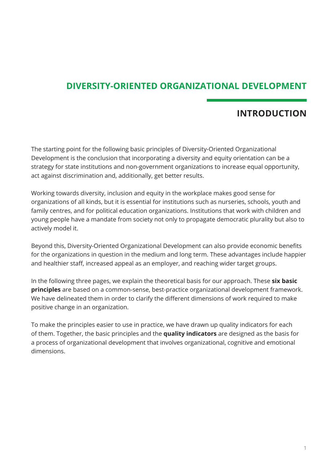### **DIVERSITY-ORIENTED ORGANIZATIONAL DEVELOPMENT**

### **INTRODUCTION**

The starting point for the following basic principles of Diversity-Oriented Organizational Development is the conclusion that incorporating a diversity and equity orientation can be a strategy for state institutions and non-government organizations to increase equal opportunity, act against discrimination and, additionally, get better results.

Working towards diversity, inclusion and equity in the workplace makes good sense for organizations of all kinds, but it is essential for institutions such as nurseries, schools, youth and family centres, and for political education organizations. Institutions that work with children and young people have a mandate from society not only to propagate democratic plurality but also to actively model it.

Beyond this, Diversity-Oriented Organizational Development can also provide economic benefits for the organizations in question in the medium and long term. These advantages include happier and healthier staff, increased appeal as an employer, and reaching wider target groups.

In the following three pages, we explain the theoretical basis for our approach. These **six basic principles** are based on a common-sense, best-practice organizational development framework. We have delineated them in order to clarify the different dimensions of work required to make positive change in an organization.

To make the principles easier to use in practice, we have drawn up quality indicators for each of them. Together, the basic principles and the **quality indicators** are designed as the basis for a process of organizational development that involves organizational, cognitive and emotional dimensions.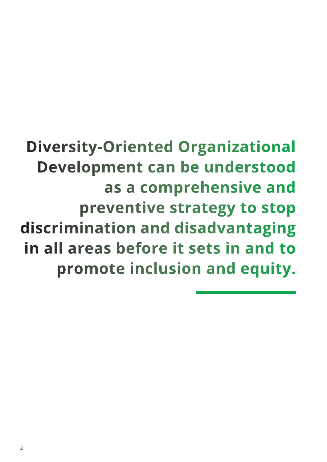## **Diversity-Oriented Organizational Development can be understood as a comprehensive and preventive strategy to stop discrimination and disadvantaging in all areas before it sets in and to promote inclusion and equity.**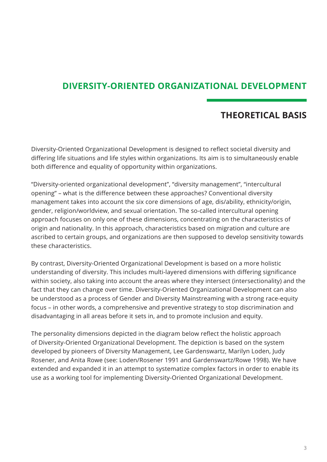### **DIVERSITY-ORIENTED ORGANIZATIONAL DEVELOPMENT**

### **THEORETICAL BASIS**

Diversity-Oriented Organizational Development is designed to reflect societal diversity and differing life situations and life styles within organizations. Its aim is to simultaneously enable both difference and equality of opportunity within organizations.

"Diversity-oriented organizational development", "diversity management", "intercultural opening" – what is the difference between these approaches? Conventional diversity management takes into account the six core dimensions of age, dis/ability, ethnicity/origin, gender, religion/worldview, and sexual orientation. The so-called intercultural opening approach focuses on only one of these dimensions, concentrating on the characteristics of origin and nationality. In this approach, characteristics based on migration and culture are ascribed to certain groups, and organizations are then supposed to develop sensitivity towards these characteristics.

By contrast, Diversity-Oriented Organizational Development is based on a more holistic understanding of diversity. This includes multi-layered dimensions with differing significance within society, also taking into account the areas where they intersect (intersectionality) and the fact that they can change over time. Diversity-Oriented Organizational Development can also be understood as a process of Gender and Diversity Mainstreaming with a strong race-equity focus – in other words, a comprehensive and preventive strategy to stop discrimination and disadvantaging in all areas before it sets in, and to promote inclusion and equity.

The personality dimensions depicted in the diagram below reflect the holistic approach of Diversity-Oriented Organizational Development. The depiction is based on the system developed by pioneers of Diversity Management, Lee Gardenswartz, Marilyn Loden, Judy Rosener, and Anita Rowe (see: Loden/Rosener 1991 and Gardenswartz/Rowe 1998). We have extended and expanded it in an attempt to systematize complex factors in order to enable its use as a working tool for implementing Diversity-Oriented Organizational Development.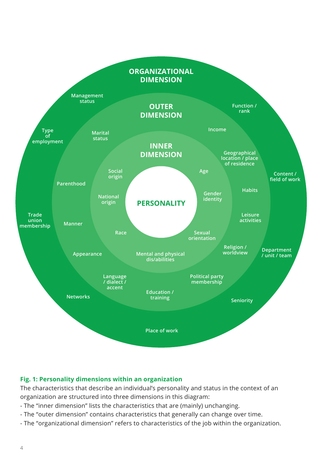

### **Fig. 1: Personality dimensions within an organization**

The characteristics that describe an individual's personality and status in the context of an organization are structured into three dimensions in this diagram:

- The "inner dimension" lists the characteristics that are (mainly) unchanging.
- The "outer dimension" contains characteristics that generally can change over time.
- The "organizational dimension" refers to characteristics of the job within the organization.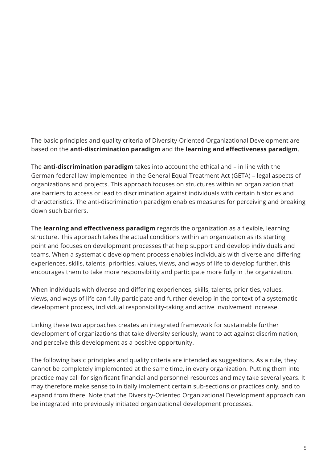The basic principles and quality criteria of Diversity-Oriented Organizational Development are based on the **anti-discrimination paradigm** and the **learning and effectiveness paradigm**.

The **anti-discrimination paradigm** takes into account the ethical and – in line with the German federal law implemented in the General Equal Treatment Act (GETA) – legal aspects of organizations and projects. This approach focuses on structures within an organization that are barriers to access or lead to discrimination against individuals with certain histories and characteristics. The anti-discrimination paradigm enables measures for perceiving and breaking down such barriers.

The **learning and effectiveness paradigm** regards the organization as a flexible, learning structure. This approach takes the actual conditions within an organization as its starting point and focuses on development processes that help support and develop individuals and teams. When a systematic development process enables individuals with diverse and differing experiences, skills, talents, priorities, values, views, and ways of life to develop further, this encourages them to take more responsibility and participate more fully in the organization.

When individuals with diverse and differing experiences, skills, talents, priorities, values, views, and ways of life can fully participate and further develop in the context of a systematic development process, individual responsibility-taking and active involvement increase.

Linking these two approaches creates an integrated framework for sustainable further development of organizations that take diversity seriously, want to act against discrimination, and perceive this development as a positive opportunity.

The following basic principles and quality criteria are intended as suggestions. As a rule, they cannot be completely implemented at the same time, in every organization. Putting them into practice may call for significant financial and personnel resources and may take several years. It may therefore make sense to initially implement certain sub-sections or practices only, and to expand from there. Note that the Diversity-Oriented Organizational Development approach can be integrated into previously initiated organizational development processes.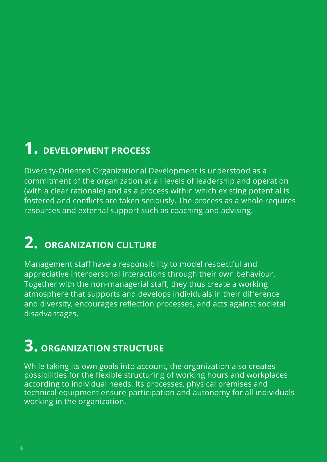## **1. DEVELOPMENT PROCESS**

Diversity-Oriented Organizational Development is understood as a commitment of the organization at all levels of leadership and operation (with a clear rationale) and as a process within which existing potential is fostered and conflicts are taken seriously. The process as a whole requires resources and external support such as coaching and advising.

## **2. ORGANIZATION CULTURE**

Management staff have a responsibility to model respectful and appreciative interpersonal interactions through their own behaviour. Together with the non-managerial staff, they thus create a working atmosphere that supports and develops individuals in their difference and diversity, encourages reflection processes, and acts against societal disadvantages. emithite iso the mapper of the mapper of the mapper of the mapper of the mapper of the mapper of the mapper of the mapper of the mapper of the mapper of the mapper of the mapper of the mapper of the mapper of the mapper of

## **3. ORGANIZATION STRUCTURE 3.**

While taking its own goals into account, the organization also creates possibilities for the flexible structuring of working hours and workplaces according to individual needs. Its processes, physical premises and technical equipment ensure participation and autonomy for all individuals working in the organization.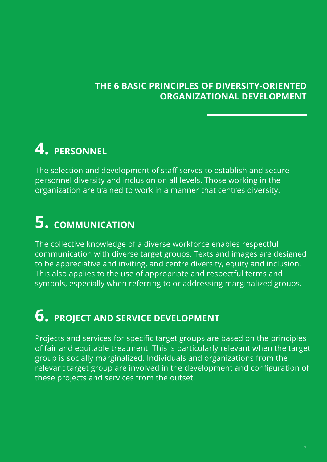### **THE 6 BASIC PRINCIPLES OF DIVERSITY-ORIENTED ORGANIZATIONAL DEVELOPMENT**

## **4. PERSONNEL 4.**

The selection and development of staff serves to establish and secure personnel diversity and inclusion on all levels. Those working in the organization are trained to work in a manner that centres diversity.

## **5. COMMUNICATION**

The collective knowledge of a diverse workforce enables respectful communication with diverse target groups. Texts and images are designed to be appreciative and inviting, and centre diversity, equity and inclusion. This also applies to the use of appropriate and respectful terms and symbols, especially when referring to or addressing marginalized groups. **5.**<br>The comm<br>to be<br>This a<br>symb<br>**6.** 

## **6. PROJECT AND SERVICE DEVELOPMENT**

Projects and services for specific target groups are based on the principles of fair and equitable treatment. This is particularly relevant when the target group is socially marginalized. Individuals and organizations from the relevant target group are involved in the development and configuration of these projects and services from the outset.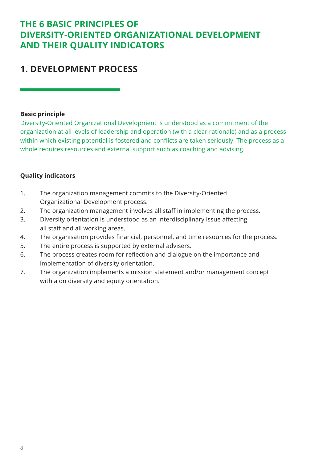### **THE 6 BASIC PRINCIPLES OF DIVERSITY-ORIENTED ORGANIZATIONAL DEVELOPMENT AND THEIR QUALITY INDICATORS**

### **1. DEVELOPMENT PROCESS**

### **Basic principle**

Diversity-Oriented Organizational Development is understood as a commitment of the organization at all levels of leadership and operation (with a clear rationale) and as a process within which existing potential is fostered and conflicts are taken seriously. The process as a whole requires resources and external support such as coaching and advising.

### **Quality indicators**

- 1. The organization management commits to the Diversity-Oriented Organizational Development process.
- 2. The organization management involves all staff in implementing the process.
- 3. Diversity orientation is understood as an interdisciplinary issue affecting all staff and all working areas.
- 4. The organisation provides financial, personnel, and time resources for the process.
- 5. The entire process is supported by external advisers.
- 6. The process creates room for reflection and dialogue on the importance and implementation of diversity orientation.
- 7. The organization implements a mission statement and/or management concept with a on diversity and equity orientation.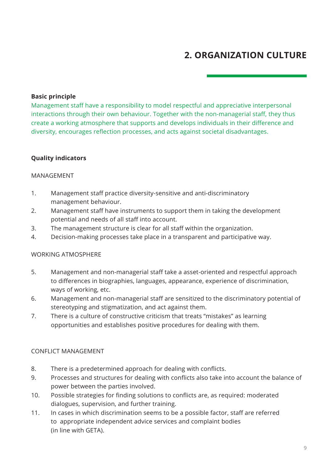### **2. ORGANIZATION CULTURE**

#### **Basic principle**

Management staff have a responsibility to model respectful and appreciative interpersonal interactions through their own behaviour. Together with the non-managerial staff, they thus create a working atmosphere that supports and develops individuals in their difference and diversity, encourages reflection processes, and acts against societal disadvantages.

### **Quality indicators**

#### MANAGEMENT

- 1. Management staff practice diversity-sensitive and anti-discriminatory management behaviour.
- 2. Management staff have instruments to support them in taking the development potential and needs of all staff into account.
- 3. The management structure is clear for all staff within the organization.
- 4. Decision-making processes take place in a transparent and participative way.

#### WORKING ATMOSPHERE

- 5. Management and non-managerial staff take a asset-oriented and respectful approach to differences in biographies, languages, appearance, experience of discrimination, ways of working, etc.
- 6. Management and non-managerial staff are sensitized to the discriminatory potential of stereotyping and stigmatization, and act against them.
- 7. There is a culture of constructive criticism that treats "mistakes" as learning opportunities and establishes positive procedures for dealing with them.

#### CONFLICT MANAGEMENT

- 8. There is a predetermined approach for dealing with conflicts.
- 9. Processes and structures for dealing with conflicts also take into account the balance of power between the parties involved.
- 10. Possible strategies for finding solutions to conflicts are, as required: moderated dialogues, supervision, and further training.
- 11. In cases in which discrimination seems to be a possible factor, staff are referred to appropriate independent advice services and complaint bodies (in line with GETA).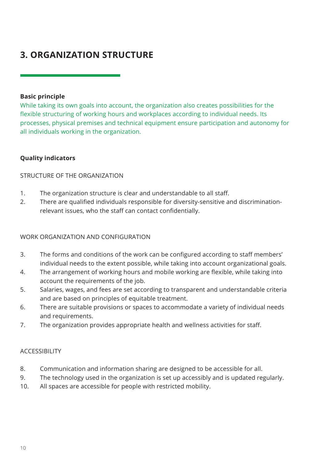### **3. ORGANIZATION STRUCTURE**

### **Basic principle**

While taking its own goals into account, the organization also creates possibilities for the flexible structuring of working hours and workplaces according to individual needs. Its processes, physical premises and technical equipment ensure participation and autonomy for all individuals working in the organization.

### **Quality indicators**

### STRUCTURE OF THE ORGANIZATION

- 1. The organization structure is clear and understandable to all staff.
- 2. There are qualified individuals responsible for diversity-sensitive and discriminationrelevant issues, who the staff can contact confidentially.

### WORK ORGANIZATION AND CONFIGURATION

- 3. The forms and conditions of the work can be configured according to staff members' individual needs to the extent possible, while taking into account organizational goals.
- 4. The arrangement of working hours and mobile working are flexible, while taking into account the requirements of the job.
- 5. Salaries, wages, and fees are set according to transparent and understandable criteria and are based on principles of equitable treatment.
- 6. There are suitable provisions or spaces to accommodate a variety of individual needs and requirements.
- 7. The organization provides appropriate health and wellness activities for staff.

### ACCESSIBILITY

- 8. Communication and information sharing are designed to be accessible for all.
- 9. The technology used in the organization is set up accessibly and is updated regularly.
- 10. All spaces are accessible for people with restricted mobility.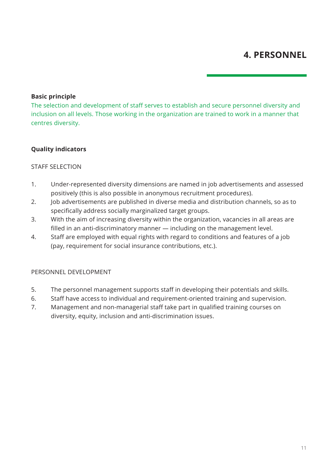### **Basic principle**

The selection and development of staff serves to establish and secure personnel diversity and inclusion on all levels. Those working in the organization are trained to work in a manner that centres diversity.

### **Quality indicators**

#### STAFF SELECTION

- 1. Under-represented diversity dimensions are named in job advertisements and assessed positively (this is also possible in anonymous recruitment procedures).
- 2. Job advertisements are published in diverse media and distribution channels, so as to specifically address socially marginalized target groups.
- 3. With the aim of increasing diversity within the organization, vacancies in all areas are filled in an anti-discriminatory manner — including on the management level.
- 4. Staff are employed with equal rights with regard to conditions and features of a job (pay, requirement for social insurance contributions, etc.).

#### PERSONNEL DEVELOPMENT

- 5. The personnel management supports staff in developing their potentials and skills.
- 6. Staff have access to individual and requirement-oriented training and supervision.
- 7. Management and non-managerial staff take part in qualified training courses on diversity, equity, inclusion and anti-discrimination issues.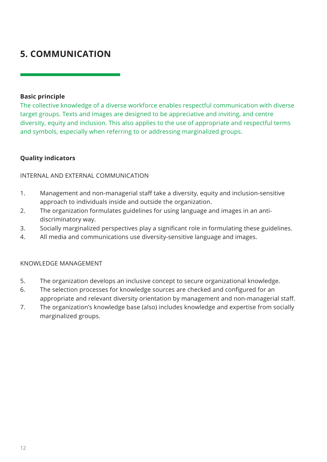### **5. COMMUNICATION**

### **Basic principle**

The collective knowledge of a diverse workforce enables respectful communication with diverse target groups. Texts and images are designed to be appreciative and inviting, and centre diversity, equity and inclusion. This also applies to the use of appropriate and respectful terms and symbols, especially when referring to or addressing marginalized groups.

### **Quality indicators**

### INTERNAL AND EXTERNAL COMMUNICATION

- 1. Management and non-managerial staff take a diversity, equity and inclusion-sensitive approach to individuals inside and outside the organization.
- 2. The organization formulates guidelines for using language and images in an anti discriminatory way.
- 3. Socially marginalized perspectives play a significant role in formulating these guidelines.
- 4. All media and communications use diversity-sensitive language and images.

### KNOWLEDGE MANAGEMENT

- 5. The organization develops an inclusive concept to secure organizational knowledge.
- 6. The selection processes for knowledge sources are checked and configured for an appropriate and relevant diversity orientation by management and non-managerial staff.
- 7. The organization's knowledge base (also) includes knowledge and expertise from socially marginalized groups.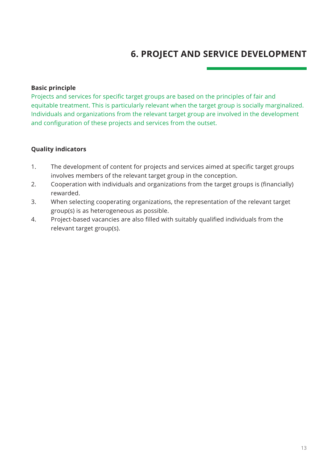### **6. PROJECT AND SERVICE DEVELOPMENT**

### **Basic principle**

Projects and services for specific target groups are based on the principles of fair and equitable treatment. This is particularly relevant when the target group is socially marginalized. Individuals and organizations from the relevant target group are involved in the development and configuration of these projects and services from the outset.

### **Quality indicators**

- 1. The development of content for projects and services aimed at specific target groups involves members of the relevant target group in the conception.
- 2. Cooperation with individuals and organizations from the target groups is (financially) rewarded.
- 3. When selecting cooperating organizations, the representation of the relevant target group(s) is as heterogeneous as possible.
- 4. Project-based vacancies are also filled with suitably qualified individuals from the relevant target group(s).